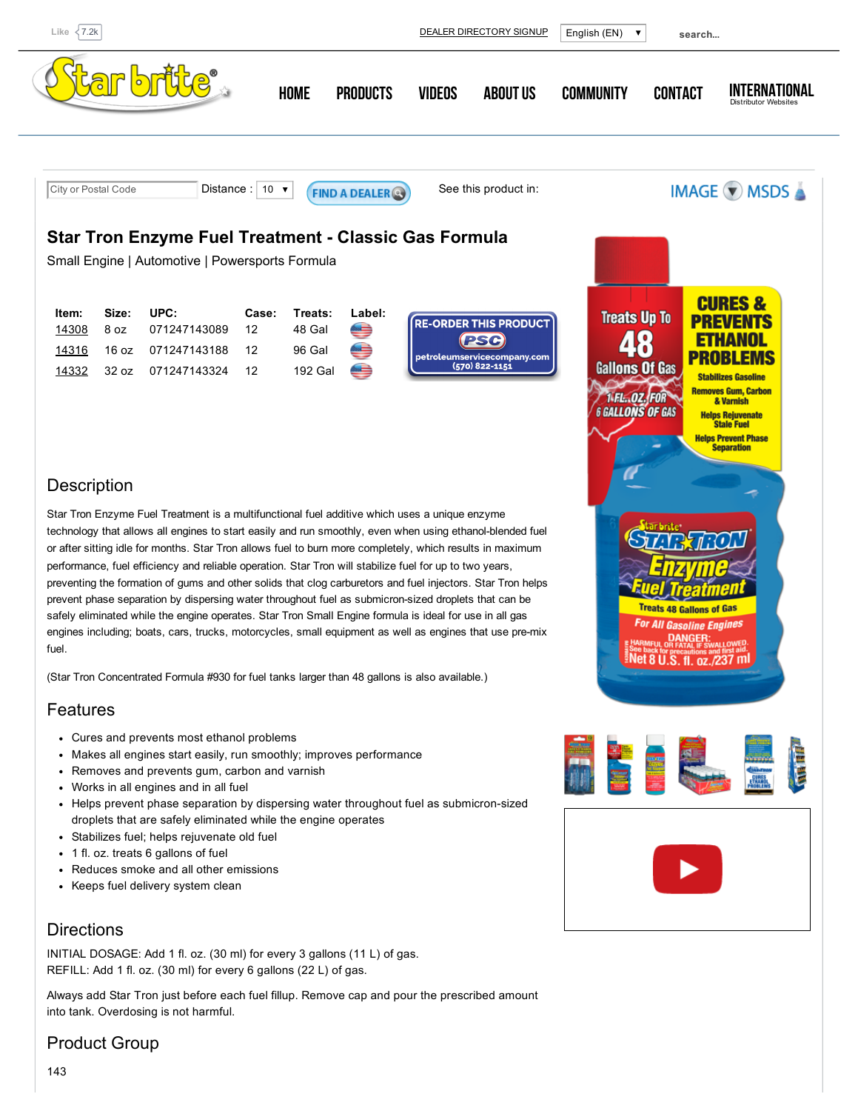

## Product Group